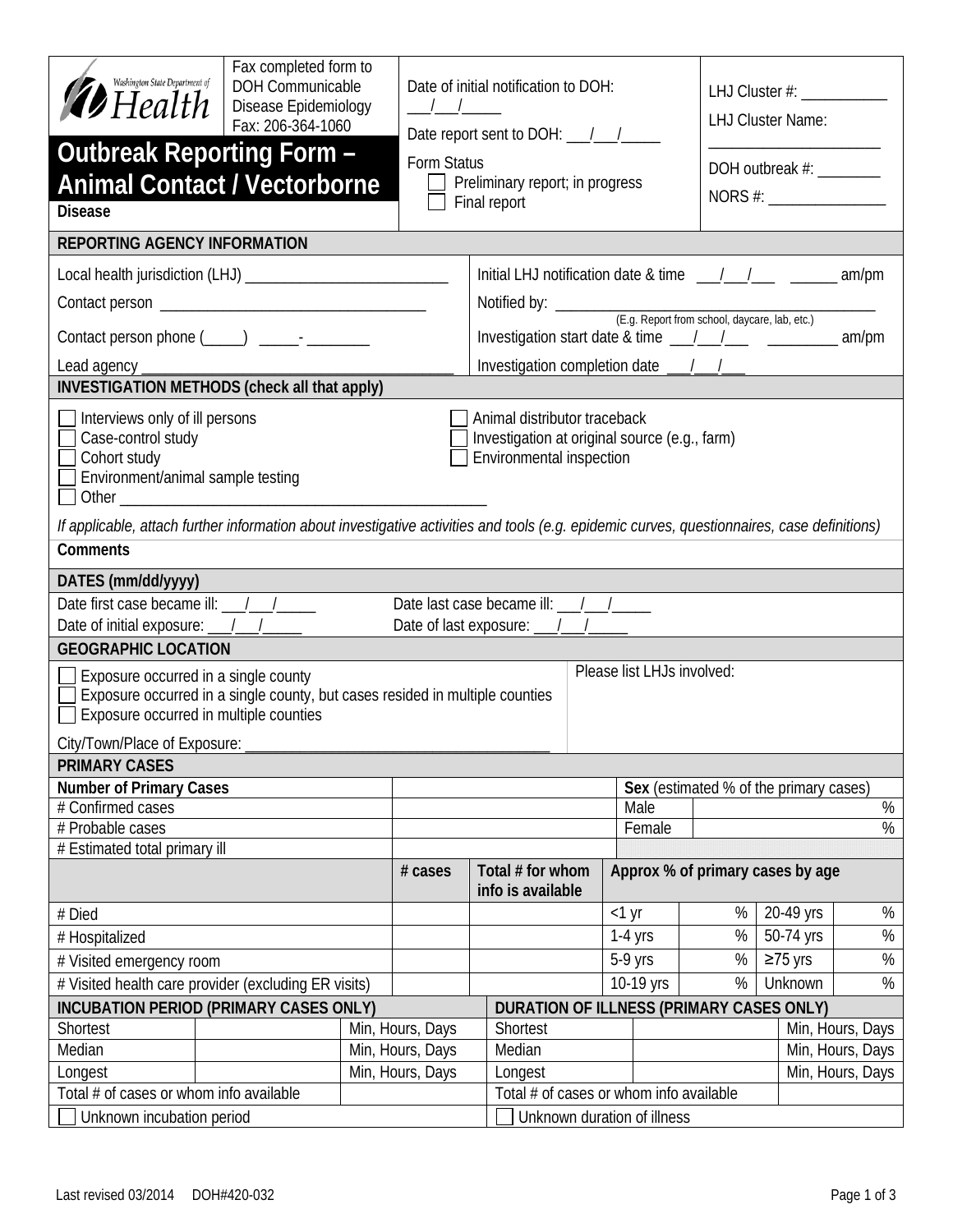| Washington State Department of<br>$\mathcal{D}$ Health                                                                                                                                                                        | Fax completed form to<br>DOH Communicable<br>Disease Epidemiology<br>Fax: 206-364-1060 |                                         | $\frac{\frac{1}{2}}{\frac{1}{2}}$                              |          | Date of initial notification to DOH: |                                  |                                        | LHJ Cluster #: ______________<br><b>LHJ Cluster Name:</b> |           |                  |  |
|-------------------------------------------------------------------------------------------------------------------------------------------------------------------------------------------------------------------------------|----------------------------------------------------------------------------------------|-----------------------------------------|----------------------------------------------------------------|----------|--------------------------------------|----------------------------------|----------------------------------------|-----------------------------------------------------------|-----------|------------------|--|
| <b>Outbreak Reporting Form -</b><br><b>Animal Contact / Vectorborne</b><br><b>Disease</b>                                                                                                                                     |                                                                                        |                                         | Form Status<br>Preliminary report; in progress<br>Final report |          |                                      | DOH outbreak #:<br>NORS #:       |                                        |                                                           |           |                  |  |
| <b>REPORTING AGENCY INFORMATION</b>                                                                                                                                                                                           |                                                                                        |                                         |                                                                |          |                                      |                                  |                                        |                                                           |           |                  |  |
|                                                                                                                                                                                                                               |                                                                                        |                                         |                                                                |          |                                      |                                  |                                        |                                                           |           |                  |  |
|                                                                                                                                                                                                                               |                                                                                        |                                         |                                                                |          |                                      |                                  |                                        |                                                           |           |                  |  |
|                                                                                                                                                                                                                               |                                                                                        |                                         |                                                                |          |                                      |                                  |                                        |                                                           |           |                  |  |
|                                                                                                                                                                                                                               |                                                                                        |                                         |                                                                |          |                                      |                                  |                                        |                                                           |           |                  |  |
| Lead agency ___________                                                                                                                                                                                                       |                                                                                        |                                         |                                                                |          |                                      |                                  |                                        |                                                           |           |                  |  |
| <b>INVESTIGATION METHODS (check all that apply)</b>                                                                                                                                                                           |                                                                                        |                                         |                                                                |          |                                      |                                  |                                        |                                                           |           |                  |  |
| $\Box$ Interviews only of ill persons<br>Animal distributor traceback<br>Case-control study<br>Investigation at original source (e.g., farm)<br>Environmental inspection<br>Cohort study<br>Environment/animal sample testing |                                                                                        |                                         |                                                                |          |                                      |                                  |                                        |                                                           |           |                  |  |
| If applicable, attach further information about investigative activities and tools (e.g. epidemic curves, questionnaires, case definitions)                                                                                   |                                                                                        |                                         |                                                                |          |                                      |                                  |                                        |                                                           |           |                  |  |
| <b>Comments</b>                                                                                                                                                                                                               |                                                                                        |                                         |                                                                |          |                                      |                                  |                                        |                                                           |           |                  |  |
| DATES (mm/dd/yyyy)                                                                                                                                                                                                            |                                                                                        |                                         |                                                                |          |                                      |                                  |                                        |                                                           |           |                  |  |
| Date first case became ill: __/__/______<br>Date last case became ill: / /<br>Date of initial exposure: 1.1.1.1.<br>Date of last exposure: 1.1.1.                                                                             |                                                                                        |                                         |                                                                |          |                                      |                                  |                                        |                                                           |           |                  |  |
| <b>GEOGRAPHIC LOCATION</b>                                                                                                                                                                                                    |                                                                                        |                                         |                                                                |          |                                      |                                  |                                        |                                                           |           |                  |  |
| Please list LHJs involved:<br>Exposure occurred in a single county<br>Exposure occurred in a single county, but cases resided in multiple counties<br>Exposure occurred in multiple counties                                  |                                                                                        |                                         |                                                                |          |                                      |                                  |                                        |                                                           |           |                  |  |
| City/Town/Place of Exposure:                                                                                                                                                                                                  |                                                                                        |                                         |                                                                |          |                                      |                                  |                                        |                                                           |           |                  |  |
| <b>PRIMARY CASES</b>                                                                                                                                                                                                          |                                                                                        |                                         |                                                                |          |                                      |                                  |                                        |                                                           |           |                  |  |
| <b>Number of Primary Cases</b><br># Confirmed cases                                                                                                                                                                           |                                                                                        | Male                                    |                                                                |          |                                      |                                  | Sex (estimated % of the primary cases) | $\%$                                                      |           |                  |  |
| # Probable cases                                                                                                                                                                                                              |                                                                                        |                                         |                                                                |          |                                      |                                  | Female                                 |                                                           |           | $\frac{8}{6}$    |  |
| # Estimated total primary ill                                                                                                                                                                                                 |                                                                                        |                                         |                                                                |          |                                      |                                  |                                        |                                                           |           |                  |  |
|                                                                                                                                                                                                                               | # cases                                                                                |                                         | Total # for whom<br>info is available                          |          |                                      | Approx % of primary cases by age |                                        |                                                           |           |                  |  |
| # Died                                                                                                                                                                                                                        |                                                                                        |                                         |                                                                |          |                                      |                                  | $<$ 1 yr                               | $\%$                                                      | 20-49 yrs | $\%$             |  |
| # Hospitalized                                                                                                                                                                                                                |                                                                                        |                                         |                                                                |          | $1-4$ yrs                            |                                  |                                        | $\%$                                                      | 50-74 yrs | $\%$             |  |
| # Visited emergency room                                                                                                                                                                                                      |                                                                                        |                                         | 5-9 yrs                                                        |          |                                      | $\%$                             | ≥75 yrs                                | $\%$                                                      |           |                  |  |
| # Visited health care provider (excluding ER visits)                                                                                                                                                                          |                                                                                        |                                         | 10-19 yrs                                                      |          |                                      | $\%$                             | Unknown                                |                                                           |           |                  |  |
| <b>INCUBATION PERIOD (PRIMARY CASES ONLY)</b>                                                                                                                                                                                 |                                                                                        |                                         | DURATION OF ILLNESS (PRIMARY CASES ONLY)                       |          |                                      |                                  |                                        |                                                           |           |                  |  |
| Shortest                                                                                                                                                                                                                      |                                                                                        |                                         | Min, Hours, Days                                               | Shortest |                                      |                                  |                                        |                                                           |           | Min, Hours, Days |  |
| Median                                                                                                                                                                                                                        |                                                                                        |                                         | Min, Hours, Days                                               |          | Median                               |                                  |                                        |                                                           |           | Min, Hours, Days |  |
| Longest                                                                                                                                                                                                                       | Min, Hours, Days                                                                       |                                         |                                                                |          | Min, Hours, Days<br>Longest          |                                  |                                        |                                                           |           |                  |  |
| Total # of cases or whom info available                                                                                                                                                                                       |                                                                                        | Total # of cases or whom info available |                                                                |          |                                      |                                  |                                        |                                                           |           |                  |  |
| Unknown incubation period                                                                                                                                                                                                     |                                                                                        |                                         |                                                                |          | Unknown duration of illness          |                                  |                                        |                                                           |           |                  |  |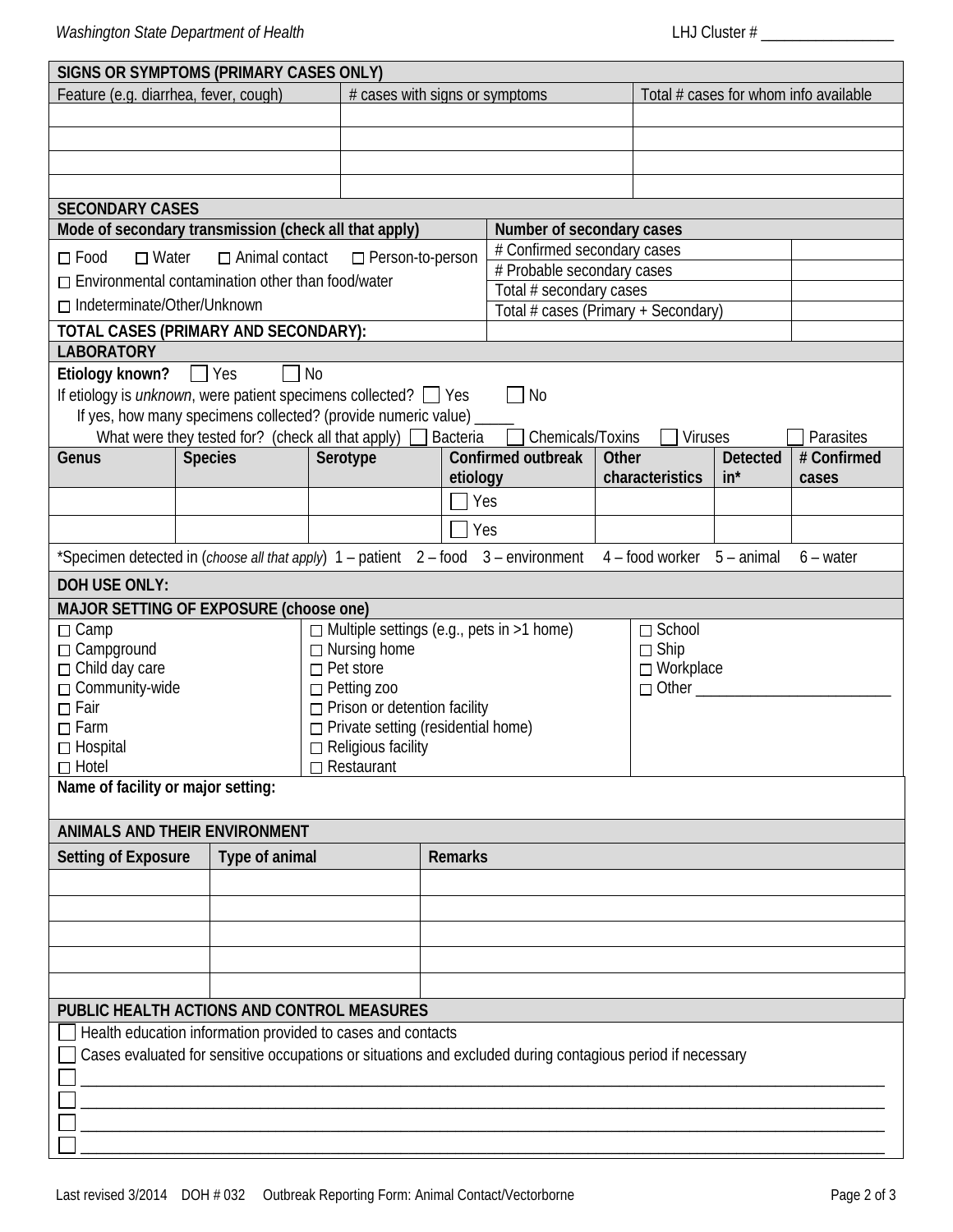| SIGNS OR SYMPTOMS (PRIMARY CASES ONLY)                                                                                                                 |                |      |                                           |                |                                                                   |                                               |                                       |  |                 |                          |  |
|--------------------------------------------------------------------------------------------------------------------------------------------------------|----------------|------|-------------------------------------------|----------------|-------------------------------------------------------------------|-----------------------------------------------|---------------------------------------|--|-----------------|--------------------------|--|
| # cases with signs or symptoms<br>Feature (e.g. diarrhea, fever, cough)                                                                                |                |      |                                           |                |                                                                   |                                               | Total # cases for whom info available |  |                 |                          |  |
|                                                                                                                                                        |                |      |                                           |                |                                                                   |                                               |                                       |  |                 |                          |  |
|                                                                                                                                                        |                |      |                                           |                |                                                                   |                                               |                                       |  |                 |                          |  |
|                                                                                                                                                        |                |      |                                           |                |                                                                   |                                               |                                       |  |                 |                          |  |
|                                                                                                                                                        |                |      |                                           |                |                                                                   |                                               |                                       |  |                 |                          |  |
| <b>SECONDARY CASES</b>                                                                                                                                 |                |      |                                           |                |                                                                   |                                               |                                       |  |                 |                          |  |
| Mode of secondary transmission (check all that apply)                                                                                                  |                |      |                                           |                | Number of secondary cases                                         |                                               |                                       |  |                 |                          |  |
| $\Box$ Food<br>$\Box$ Water<br>□ Animal contact<br>□ Person-to-person                                                                                  |                |      |                                           |                |                                                                   | # Confirmed secondary cases                   |                                       |  |                 |                          |  |
| $\Box$ Environmental contamination other than food/water                                                                                               |                |      |                                           |                | # Probable secondary cases                                        |                                               |                                       |  |                 |                          |  |
| $\Box$ Indeterminate/Other/Unknown                                                                                                                     |                |      |                                           |                | Total # secondary cases                                           |                                               |                                       |  |                 |                          |  |
|                                                                                                                                                        |                |      |                                           |                | Total # cases (Primary + Secondary)                               |                                               |                                       |  |                 |                          |  |
| TOTAL CASES (PRIMARY AND SECONDARY):                                                                                                                   |                |      |                                           |                |                                                                   |                                               |                                       |  |                 |                          |  |
| <b>LABORATORY</b>                                                                                                                                      |                |      |                                           |                |                                                                   |                                               |                                       |  |                 |                          |  |
| Etiology known?                                                                                                                                        | $\Box$ Yes     | ∏ No |                                           |                |                                                                   |                                               |                                       |  |                 |                          |  |
| If etiology is <i>unknown</i> , were patient specimens collected? $\Box$ Yes                                                                           |                |      |                                           |                |                                                                   | $\Box$ No                                     |                                       |  |                 |                          |  |
| If yes, how many specimens collected? (provide numeric value) _<br>What were they tested for? (check all that apply) $\Box$ Bacteria<br>$\Box$ Viruses |                |      |                                           |                |                                                                   |                                               |                                       |  |                 |                          |  |
| Genus                                                                                                                                                  | <b>Species</b> |      |                                           |                |                                                                   | $\Box$ Chemicals/Toxins<br>Confirmed outbreak |                                       |  | <b>Detected</b> | Parasites<br># Confirmed |  |
|                                                                                                                                                        |                |      | Serotype                                  |                | etiology                                                          |                                               | <b>Other</b><br>characteristics       |  | $in^*$          | cases                    |  |
|                                                                                                                                                        |                |      |                                           |                |                                                                   | Yes                                           |                                       |  |                 |                          |  |
|                                                                                                                                                        |                |      |                                           |                |                                                                   |                                               |                                       |  |                 |                          |  |
|                                                                                                                                                        |                |      |                                           |                |                                                                   | Yes                                           |                                       |  |                 |                          |  |
| *Specimen detected in (choose all that apply) $1$ – patient $2$ – food $3$ – environment $4$ – food worker $5$ – animal                                |                |      |                                           |                |                                                                   |                                               |                                       |  |                 | $6 - water$              |  |
| <b>DOH USE ONLY:</b>                                                                                                                                   |                |      |                                           |                |                                                                   |                                               |                                       |  |                 |                          |  |
| MAJOR SETTING OF EXPOSURE (choose one)                                                                                                                 |                |      |                                           |                |                                                                   |                                               |                                       |  |                 |                          |  |
| $\Box$ Camp                                                                                                                                            |                |      |                                           |                | $\Box$ Multiple settings (e.g., pets in >1 home)<br>$\Box$ School |                                               |                                       |  |                 |                          |  |
| □ Campground                                                                                                                                           |                |      | $\Box$ Nursing home                       | $\Box$ Ship    |                                                                   |                                               |                                       |  |                 |                          |  |
| $\Box$ Child day care<br>$\Box$ Pet store                                                                                                              |                |      |                                           |                |                                                                   |                                               | □ Workplace                           |  |                 |                          |  |
| □ Community-wide<br>□ Petting zoo                                                                                                                      |                |      | $\Box$ Other                              |                |                                                                   |                                               |                                       |  |                 |                          |  |
| $\Box$ Prison or detention facility<br>$\Box$ Fair<br>$\Box$ Farm                                                                                      |                |      | $\Box$ Private setting (residential home) |                |                                                                   |                                               |                                       |  |                 |                          |  |
| $\Box$ Hospital<br>$\Box$ Religious facility                                                                                                           |                |      |                                           |                |                                                                   |                                               |                                       |  |                 |                          |  |
| $\Box$ Hotel<br>$\Box$ Restaurant                                                                                                                      |                |      |                                           |                |                                                                   |                                               |                                       |  |                 |                          |  |
| Name of facility or major setting:                                                                                                                     |                |      |                                           |                |                                                                   |                                               |                                       |  |                 |                          |  |
|                                                                                                                                                        |                |      |                                           |                |                                                                   |                                               |                                       |  |                 |                          |  |
| ANIMALS AND THEIR ENVIRONMENT                                                                                                                          |                |      |                                           |                |                                                                   |                                               |                                       |  |                 |                          |  |
| <b>Setting of Exposure</b><br>Type of animal                                                                                                           |                |      |                                           | <b>Remarks</b> |                                                                   |                                               |                                       |  |                 |                          |  |
|                                                                                                                                                        |                |      |                                           |                |                                                                   |                                               |                                       |  |                 |                          |  |
|                                                                                                                                                        |                |      |                                           |                |                                                                   |                                               |                                       |  |                 |                          |  |
|                                                                                                                                                        |                |      |                                           |                |                                                                   |                                               |                                       |  |                 |                          |  |
|                                                                                                                                                        |                |      |                                           |                |                                                                   |                                               |                                       |  |                 |                          |  |
|                                                                                                                                                        |                |      |                                           |                |                                                                   |                                               |                                       |  |                 |                          |  |
|                                                                                                                                                        |                |      |                                           |                |                                                                   |                                               |                                       |  |                 |                          |  |
| PUBLIC HEALTH ACTIONS AND CONTROL MEASURES                                                                                                             |                |      |                                           |                |                                                                   |                                               |                                       |  |                 |                          |  |
| Health education information provided to cases and contacts                                                                                            |                |      |                                           |                |                                                                   |                                               |                                       |  |                 |                          |  |
| Cases evaluated for sensitive occupations or situations and excluded during contagious period if necessary                                             |                |      |                                           |                |                                                                   |                                               |                                       |  |                 |                          |  |
|                                                                                                                                                        |                |      |                                           |                |                                                                   |                                               |                                       |  |                 |                          |  |
|                                                                                                                                                        |                |      |                                           |                |                                                                   |                                               |                                       |  |                 |                          |  |
|                                                                                                                                                        |                |      |                                           |                |                                                                   |                                               |                                       |  |                 |                          |  |
|                                                                                                                                                        |                |      |                                           |                |                                                                   |                                               |                                       |  |                 |                          |  |